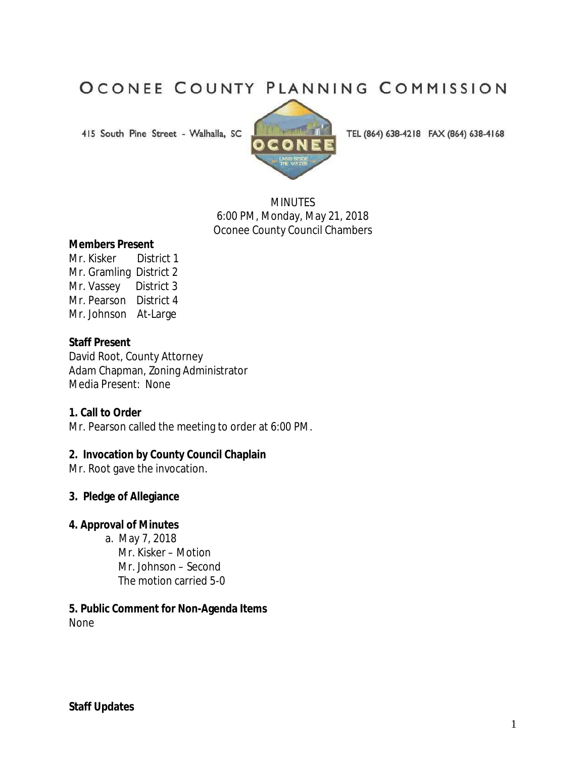# OCONEE COUNTY PLANNING COMMISSION

415 South Pine Street - Walhalla, SC



TEL (864) 638-4218 FAX (864) 638-4168

**MINUTES** 6:00 PM, Monday, May 21, 2018 Oconee County Council Chambers

#### **Members Present**

Mr. Kisker District 1 Mr. Gramling District 2 Mr. Vassey District 3 Mr. Pearson District 4 Mr. Johnson At-Large

#### **Staff Present**

David Root, County Attorney Adam Chapman, Zoning Administrator Media Present: None

#### **1. Call to Order**

Mr. Pearson called the meeting to order at 6:00 PM.

#### **2. Invocation by County Council Chaplain**

Mr. Root gave the invocation.

#### **3. Pledge of Allegiance**

#### **4. Approval of Minutes**

 a. May 7, 2018 Mr. Kisker – Motion Mr. Johnson – Second The motion carried 5-0

**5. Public Comment for Non-Agenda Items**  None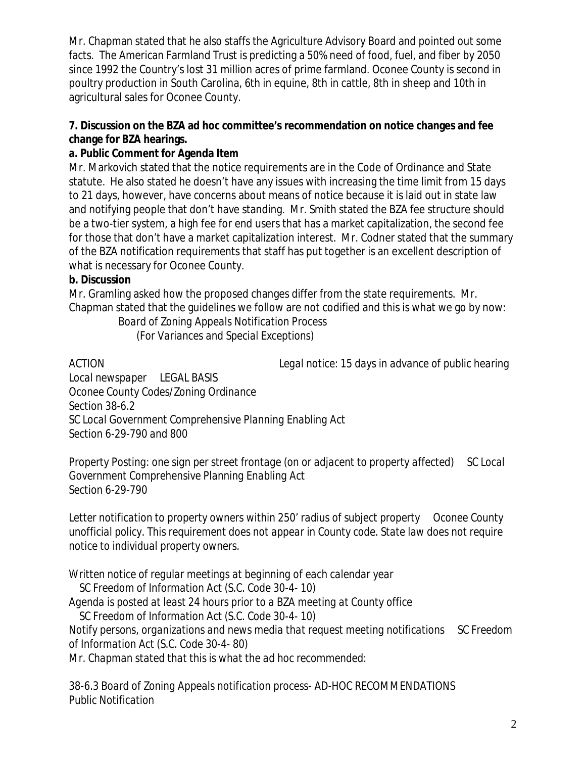Mr. Chapman stated that he also staffs the Agriculture Advisory Board and pointed out some facts. The American Farmland Trust is predicting a 50% need of food, fuel, and fiber by 2050 since 1992 the Country's lost 31 million acres of prime farmland. Oconee County is second in poultry production in South Carolina, 6th in equine, 8th in cattle, 8th in sheep and 10th in agricultural sales for Oconee County.

## **7. Discussion on the BZA ad hoc committee's recommendation on notice changes and fee change for BZA hearings.**

## **a. Public Comment for Agenda Item**

Mr. Markovich stated that the notice requirements are in the Code of Ordinance and State statute. He also stated he doesn't have any issues with increasing the time limit from 15 days to 21 days, however, have concerns about means of notice because it is laid out in state law and notifying people that don't have standing. Mr. Smith stated the BZA fee structure should be a two-tier system, a high fee for end users that has a market capitalization, the second fee for those that don't have a market capitalization interest. Mr. Codner stated that the summary of the BZA notification requirements that staff has put together is an excellent description of what is necessary for Oconee County.

## **b. Discussion**

Mr. Gramling asked how the proposed changes differ from the state requirements. Mr. Chapman stated that the guidelines we follow are not codified and this is what we go by now:

## *Board of Zoning Appeals Notification Process (For Variances and Special Exceptions)*

*ACTION Legal notice: 15 days in advance of public hearing* 

*Local newspaper LEGAL BASIS Oconee County Codes/Zoning Ordinance Section 38-6.2 SC Local Government Comprehensive Planning Enabling Act Section 6-29-790 and 800* 

*Property Posting: one sign per street frontage (on or adjacent to property affected) SC Local Government Comprehensive Planning Enabling Act Section 6-29-790* 

*Letter notification to property owners within 250' radius of subject property Oconee County unofficial policy. This requirement does not appear in County code. State law does not require notice to individual property owners.*

*Written notice of regular meetings at beginning of each calendar year* 

 *SC Freedom of Information Act (S.C. Code 30-4- 10)* 

*Agenda is posted at least 24 hours prior to a BZA meeting at County office* 

 *SC Freedom of Information Act (S.C. Code 30-4- 10)* 

*Notify persons, organizations and news media that request meeting notifications SC Freedom of Information Act (S.C. Code 30-4- 80)* 

*Mr. Chapman stated that this is what the ad hoc recommended:*

*38-6.3 Board of Zoning Appeals notification process- AD-HOC RECOMMENDATIONS Public Notification*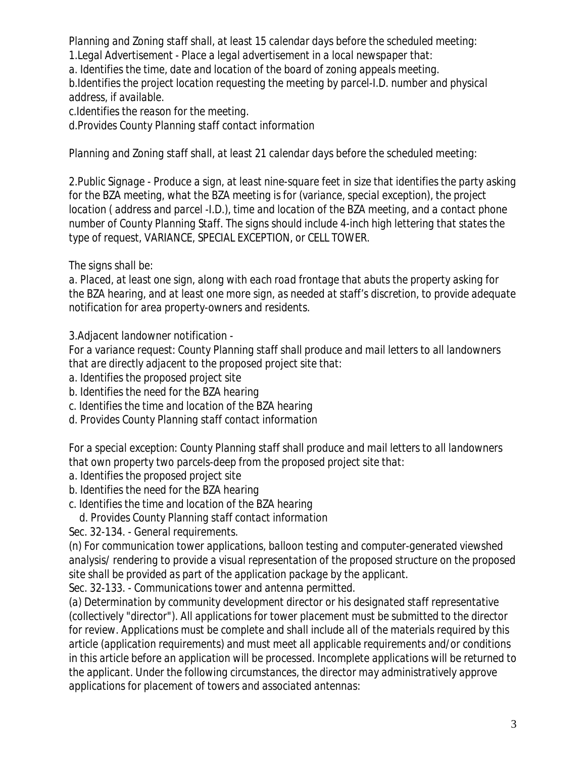*Planning and Zoning staff shall, at least 15 calendar days before the scheduled meeting: 1.Legal Advertisement - Place a legal advertisement in a local newspaper that:*

*a. Identifies the time, date and location of the board of zoning appeals meeting.*

*b.Identifies the project location requesting the meeting by parcel-I.D. number and physical address, if available.*

*c.Identifies the reason for the meeting.*

*d.Provides County Planning staff contact information*

*Planning and Zoning staff shall, at least 21 calendar days before the scheduled meeting:* 

*2.Public Signage - Produce a sign, at least nine-square feet in size that identifies the party asking for the BZA meeting, what the BZA meeting is for (variance, special exception), the project location ( address and parcel -I.D.), time and location of the BZA meeting, and a contact phone number of County Planning Staff. The signs should include 4-inch high lettering that states the type of request, VARIANCE, SPECIAL EXCEPTION, or CELL TOWER.* 

*The signs shall be:* 

*a. Placed, at least one sign, along with each road frontage that abuts the property asking for the BZA hearing, and at least one more sign, as needed at staff's discretion, to provide adequate notification for area property-owners and residents.*

*3.Adjacent landowner notification -*

*For a variance request: County Planning staff shall produce and mail letters to all landowners that are directly adjacent to the proposed project site that:* 

*a. Identifies the proposed project site*

*b. Identifies the need for the BZA hearing*

*c. Identifies the time and location of the BZA hearing*

*d. Provides County Planning staff contact information*

*For a special exception: County Planning staff shall produce and mail letters to all landowners that own property two parcels-deep from the proposed project site that:* 

- *a. Identifies the proposed project site*
- *b. Identifies the need for the BZA hearing*
- *c. Identifies the time and location of the BZA hearing*

 *d. Provides County Planning staff contact information*

*Sec. 32-134. - General requirements.* 

*(n) For communication tower applications, balloon testing and computer-generated viewshed analysis/ rendering to provide a visual representation of the proposed structure on the proposed site shall be provided as part of the application package by the applicant.*

*Sec. 32-133. - Communications tower and antenna permitted.* 

*(a) Determination by community development director or his designated staff representative (collectively "director"). All applications for tower placement must be submitted to the director for review. Applications must be complete and shall include all of the materials required by this article (application requirements) and must meet all applicable requirements and/or conditions in this article before an application will be processed. Incomplete applications will be returned to the applicant. Under the following circumstances, the director may administratively approve applications for placement of towers and associated antennas:*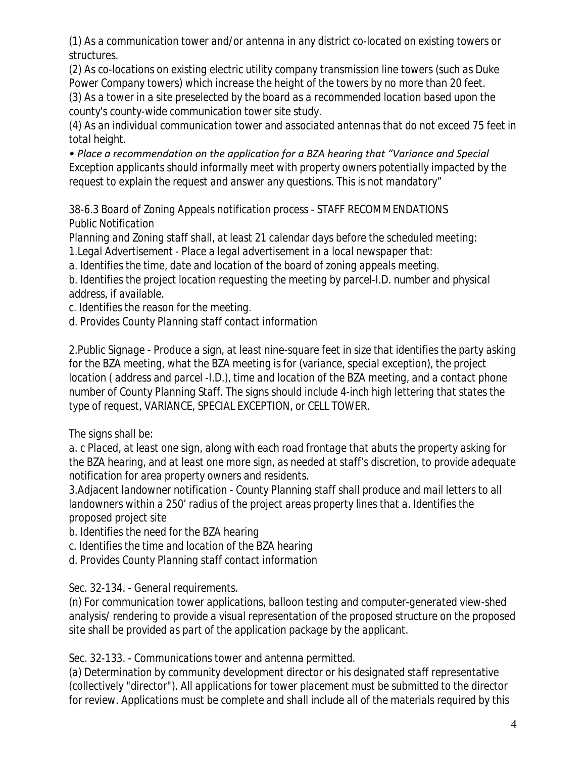*(1) As a communication tower and/or antenna in any district co-located on existing towers or structures.* 

*(2) As co-locations on existing electric utility company transmission line towers (such as Duke Power Company towers) which increase the height of the towers by no more than 20 feet. (3) As a tower in a site preselected by the board as a recommended location based upon the county's county-wide communication tower site study.* 

*(4) As an individual communication tower and associated antennas that do not exceed 75 feet in total height.* 

*• Place a recommendation on the application for a BZA hearing that "Variance and Special Exception applicants should informally meet with property owners potentially impacted by the request to explain the request and answer any questions. This is not mandatory"*

*38-6.3 Board of Zoning Appeals notification process - STAFF RECOMMENDATIONS Public Notification* 

*Planning and Zoning staff shall, at least 21 calendar days before the scheduled meeting: 1.Legal Advertisement - Place a legal advertisement in a local newspaper that:*

*a. Identifies the time, date and location of the board of zoning appeals meeting.*

*b. Identifies the project location requesting the meeting by parcel-I.D. number and physical address, if available.*

*c. Identifies the reason for the meeting.*

*d. Provides County Planning staff contact information*

*2.Public Signage - Produce a sign, at least nine-square feet in size that identifies the party asking*  for the BZA meeting, what the BZA meeting is for (variance, special exception), the project *location ( address and parcel -I.D.), time and location of the BZA meeting, and a contact phone number of County Planning Staff. The signs should include 4-inch high lettering that states the type of request, VARIANCE, SPECIAL EXCEPTION, or CELL TOWER.* 

*The signs shall be:* 

*a. c Placed, at least one sign, along with each road frontage that abuts the property asking for the BZA hearing, and at least one more sign, as needed at staff's discretion, to provide adequate notification for area property owners and residents.*

*3.Adjacent landowner notification - County Planning staff shall produce and mail letters to all landowners within a 250' radius of the project areas property lines that a. Identifies the proposed project site*

*b. Identifies the need for the BZA hearing*

- *c. Identifies the time and location of the BZA hearing*
- *d. Provides County Planning staff contact information*

*Sec. 32-134. - General requirements.* 

*(n) For communication tower applications, balloon testing and computer-generated view-shed analysis/ rendering to provide a visual representation of the proposed structure on the proposed site shall be provided as part of the application package by the applicant.* 

*Sec. 32-133. - Communications tower and antenna permitted.* 

*(a) Determination by community development director or his designated staff representative (collectively "director"). All applications for tower placement must be submitted to the director for review. Applications must be complete and shall include all of the materials required by this*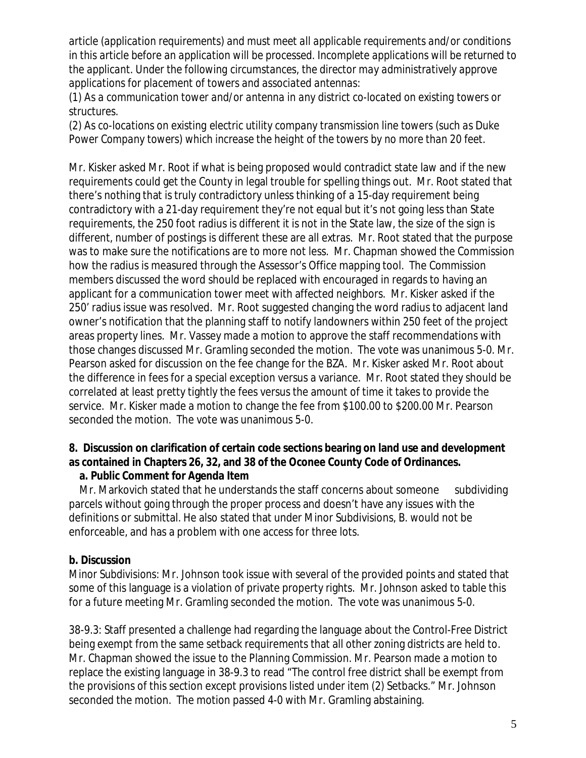*article (application requirements) and must meet all applicable requirements and/or conditions in this article before an application will be processed. Incomplete applications will be returned to the applicant. Under the following circumstances, the director may administratively approve applications for placement of towers and associated antennas:* 

*(1) As a communication tower and/or antenna in any district co-located on existing towers or structures.* 

*(2) As co-locations on existing electric utility company transmission line towers (such as Duke Power Company towers) which increase the height of the towers by no more than 20 feet.* 

Mr. Kisker asked Mr. Root if what is being proposed would contradict state law and if the new requirements could get the County in legal trouble for spelling things out. Mr. Root stated that there's nothing that is truly contradictory unless thinking of a 15-day requirement being contradictory with a 21-day requirement they're not equal but it's not going less than State requirements, the 250 foot radius is different it is not in the State law, the size of the sign is different, number of postings is different these are all extras. Mr. Root stated that the purpose was to make sure the notifications are to more not less. Mr. Chapman showed the Commission how the radius is measured through the Assessor's Office mapping tool. The Commission members discussed the word should be replaced with encouraged in regards to having an applicant for a communication tower meet with affected neighbors. Mr. Kisker asked if the 250' radius issue was resolved. Mr. Root suggested changing the word radius to adjacent land owner's notification that the planning staff to notify landowners within 250 feet of the project areas property lines. Mr. Vassey made a motion to approve the staff recommendations with those changes discussed Mr. Gramling seconded the motion. The vote was unanimous 5-0. Mr. Pearson asked for discussion on the fee change for the BZA. Mr. Kisker asked Mr. Root about the difference in fees for a special exception versus a variance. Mr. Root stated they should be correlated at least pretty tightly the fees versus the amount of time it takes to provide the service. Mr. Kisker made a motion to change the fee from \$100.00 to \$200.00 Mr. Pearson seconded the motion. The vote was unanimous 5-0.

## **8. Discussion on clarification of certain code sections bearing on land use and development as contained in Chapters 26, 32, and 38 of the Oconee County Code of Ordinances.**

## **a. Public Comment for Agenda Item**

Mr. Markovich stated that he understands the staff concerns about someone subdividing parcels without going through the proper process and doesn't have any issues with the definitions or submittal. He also stated that under Minor Subdivisions, B. would not be enforceable, and has a problem with one access for three lots.

## **b. Discussion**

*Minor Subdivisions:* Mr. Johnson took issue with several of the provided points and stated that some of this language is a violation of private property rights. Mr. Johnson asked to table this for a future meeting Mr. Gramling seconded the motion. The vote was unanimous 5-0.

*38-9.3:* Staff presented a challenge had regarding the language about the Control-Free District being exempt from the same setback requirements that all other zoning districts are held to. Mr. Chapman showed the issue to the Planning Commission. Mr. Pearson made a motion to replace the existing language in 38-9.3 to read "The control free district shall be exempt from the provisions of this section except provisions listed under item (2) Setbacks." Mr. Johnson seconded the motion. The motion passed 4-0 with Mr. Gramling abstaining.